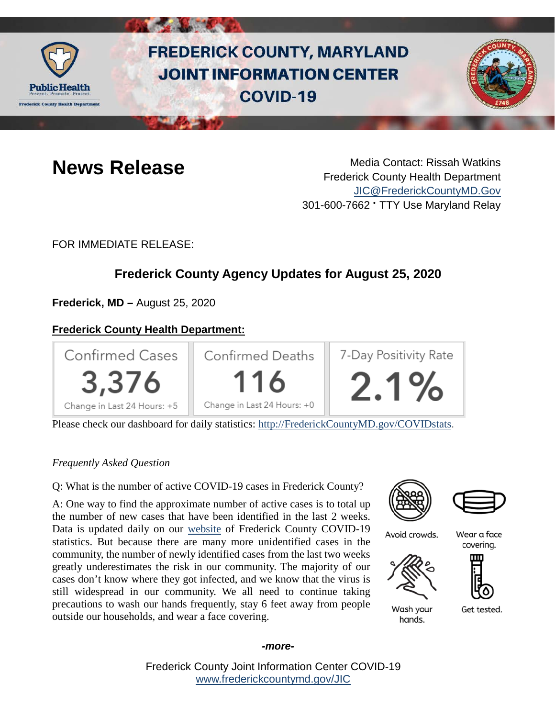

# **FREDERICK COUNTY, MARYLAND JOINT INFORMATION CENTER COVID-19**



**News Release** Media Contact: Rissah Watkins Frederick County Health Department [JIC@FrederickCountyMD.Gov](mailto:JIC@FrederickCountyMD.Gov) 301-600-7662 • TTY Use Maryland Relay

FOR IMMEDIATE RELEASE:

# **Frederick County Agency Updates for August 25, 2020**

**Frederick, MD –** August 25, 2020

### **Frederick County Health Department:**



Please check our dashboard for daily statistics: [http://FrederickCountyMD.gov/COVIDstats.](http://frederickcountymd.gov/COVIDstats)

#### *Frequently Asked Question*

Q: What is the number of active COVID-19 cases in Frederick County?

A: One way to find the approximate number of active cases is to total up the number of new cases that have been identified in the last 2 weeks. Data is updated daily on our [website](https://www.frederickcountymd.gov/8094/COVID-19-in-Frederick-County) of Frederick County COVID-19 statistics. But because there are many more unidentified cases in the community, the number of newly identified cases from the last two weeks greatly underestimates the risk in our community. The majority of our cases don't know where they got infected, and we know that the virus is still widespread in our community. We all need to continue taking precautions to wash our hands frequently, stay 6 feet away from people outside our households, and wear a face covering.





Avoid crowds.

Wear a face covering.





Get tested.

Wash your hands.

Frederick County Joint Information Center COVID-19 [www.frederickcountymd.gov/JIC](https://frederickcountymd.gov/JIC)

#### *-more-*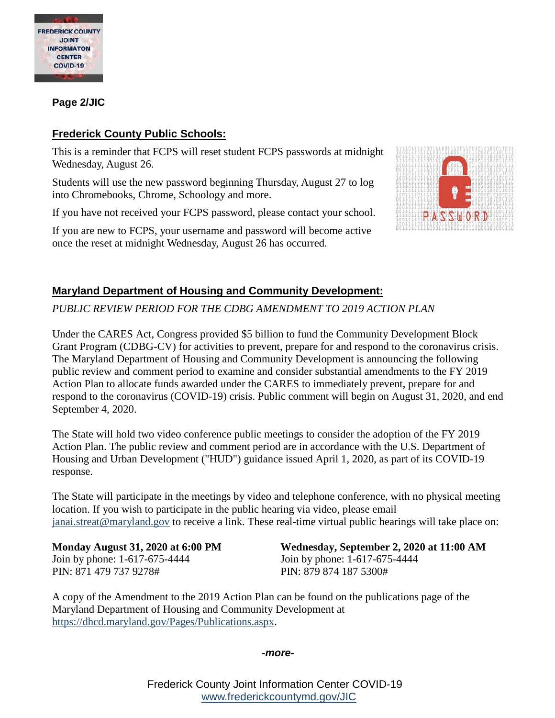

**Page 2/JIC**

### **Frederick County Public Schools:**

This is a reminder that FCPS will reset student FCPS passwords at midnight Wednesday, August 26.

Students will use the new password beginning Thursday, August 27 to log into Chromebooks, Chrome, Schoology and more.

If you have not received your FCPS password, please contact your school.

If you are new to FCPS, your username and password will become active once the reset at midnight Wednesday, August 26 has occurred.



### **Maryland Department of Housing and Community Development:**

*PUBLIC REVIEW PERIOD FOR THE CDBG AMENDMENT TO 2019 ACTION PLAN*

Under the CARES Act, Congress provided \$5 billion to fund the Community Development Block Grant Program (CDBG-CV) for activities to prevent, prepare for and respond to the coronavirus crisis. The Maryland Department of Housing and Community Development is announcing the following public review and comment period to examine and consider substantial amendments to the FY 2019 Action Plan to allocate funds awarded under the CARES to immediately prevent, prepare for and respond to the coronavirus (COVID-19) crisis. Public comment will begin on August 31, 2020, and end September 4, 2020.

The State will hold two video conference public meetings to consider the adoption of the FY 2019 Action Plan. The public review and comment period are in accordance with the U.S. Department of Housing and Urban Development ("HUD") guidance issued April 1, 2020, as part of its COVID-19 response.

The State will participate in the meetings by video and telephone conference, with no physical meeting location. If you wish to participate in the public hearing via video, please email [janai.streat@maryland.gov](mailto:janai.streat@maryland.gov) to receive a link. These real-time virtual public hearings will take place on:

Join by phone: 1-617-675-4444 Join by phone: 1-617-675-4444 PIN: 871 479 737 9278# PIN: 879 874 187 5300#

**Monday August 31, 2020 at 6:00 PM Wednesday, September 2, 2020 at 11:00 AM**

A copy of the Amendment to the 2019 Action Plan can be found on the publications page of the Maryland Department of Housing and Community Development at [https://dhcd.maryland.gov/Pages/Publications.aspx.](https://urldefense.com/v3/__https:/dhcd.maryland.gov/Pages/Publications.aspx__;!!I2-OFBIJoQBJqqeup9g!UD11iB3VfRTmVUxtGjo6CvucTGfonzfX-a1omzaxKkgYkivR8oWFLN5-yYRq_g0mUV92OMkgztQ$)

*-more-*